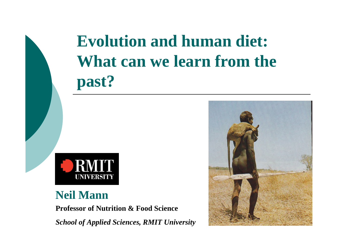## **Evolution and human diet:**  What can we learn from the **past?**



#### **Neil Mann**

**Professor of Nutrition & Food Science**

*School of Applied Sciences, RMIT University*

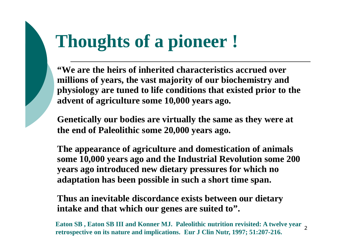## **Thoughts of a pioneer !**

**"We are the heirs of inherited characteristics accrued over millions of years, the vast majority of our biochemistry and physiology are tuned to life conditions that existed prior to the advent of agriculture some 10,000 years ago.**

**Genetically our bodies are virtually the same as they were at the end of Paleolithic some 20,000 years ago.**

**The appearance of agriculture and domestication of animals some 10,000 years ago and the Industrial Revolution some 200 years ago introduced new dietary pressures for which no adaptation has been possible in such a short time span.**

**Thus an inevitable discordance exists between our dietary intake and that which our genes are suited to".**

2 **Eaton SB , Eaton SB III and Konner MJ. Paleolithic nutrition revisited: A twelve year retrospective on its nature and implications. Eur J Clin Nutr, 1997; 51:207-216.**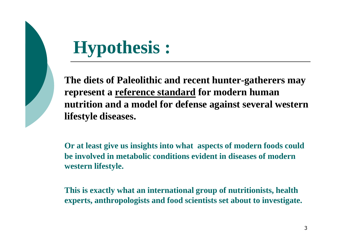

## **Hypothesis :**

**The diets of Paleolithic and recent hunter-gatherers may represent a reference standard for modern human nutrition and a model for defense against several western lifestyle diseases.**

**Or at least give us insights into what aspects of modern foods could be involved in metabolic conditions evident in diseases of modern western lifestyle.**

**This is exactly what an international group of nutritionists, health experts, anthropologists and food scientists set about to investigate.**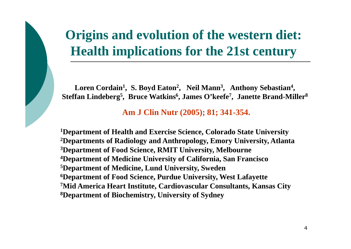### **Origins and evolution of the western diet: Health implications for the 21st century**

Loren Cordain<sup>1</sup>, S. Boyd Eaton<sup>2</sup>, Neil Mann<sup>3</sup>, Anthony Sebastian<sup>4</sup>, **Steffan Lindeberg<sup>5</sup> , Bruce Watkins<sup>6</sup> , James O'keefe<sup>7</sup> , Janette Brand-Miller<sup>8</sup>**

**Am J Clin Nutr (2005); 81; 341-354.**

**Department of Health and Exercise Science, Colorado State University Departments of Radiology and Anthropology, Emory University, Atlanta Department of Food Science, RMIT University, Melbourne Department of Medicine University of California, San Francisco Department of Medicine, Lund University, Sweden Department of Food Science, Purdue University, West Lafayette Mid America Heart Institute, Cardiovascular Consultants, Kansas City Department of Biochemistry, University of Sydney**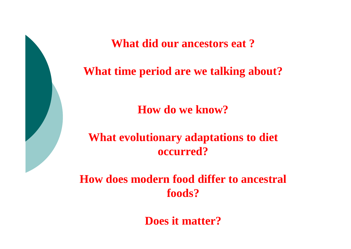**What did our ancestors eat ?**

#### **What time period are we talking about?**

**How do we know?**

**What evolutionary adaptations to diet occurred?**

**How does modern food differ to ancestral foods?**

**Does it matter?**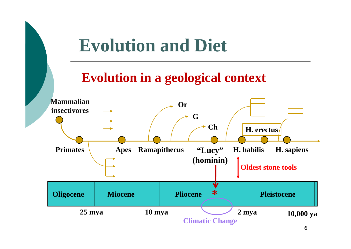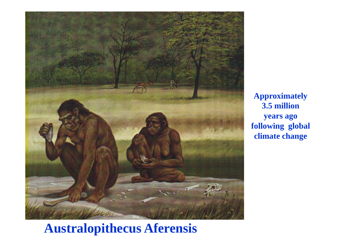

**Approximately 3.5 million years ago following global climate change**

### **Australopithecus Aferensis**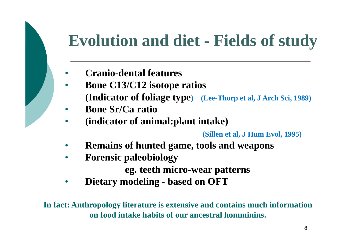### **Evolution and diet - Fields of study**

- **Cranio-dental features**
- **Bone C13/C12 isotope ratios (Indicator of foliage type) (Lee-Thorp et al, J Arch Sci, 1989)**
- **Bone Sr/Ca ratio**
- **(indicator of animal:plant intake)**

**(Sillen et al, J Hum Evol, 1995)**

- **Remains of hunted game, tools and weapons**
- **Forensic paleobiology**

**eg. teeth micro-wear patterns**

• **Dietary modeling - based on OFT**

**In fact: Anthropology literature is extensive and contains much information on food intake habits of our ancestral homminins.**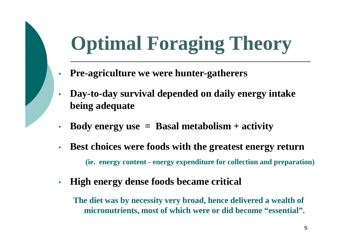## **Optimal Foraging Theory**

- **Pre-agriculture we were hunter-gatherers**
- **Day-to-day survival depended on daily energy intake being adequate**
- **Body energy use = Basal metabolism + activity**
- **Best choices were foods with the greatest energy return (ie. energy content - energy expenditure for collection and preparation)**
- **High energy dense foods became critical**

**The diet was by necessity very broad, hence delivered a wealth of micronutrients, most of which were or did become "essential".**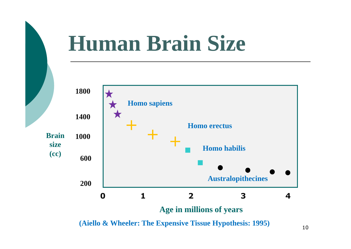

**(Aiello & Wheeler: The Expensive Tissue Hypothesis: 1995)**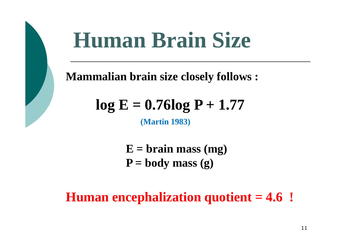## **Human Brain Size**

**Mammalian brain size closely follows :**

## $log E = 0.76log P + 1.77$

**(Martin 1983)**

**E = brain mass (mg)**  $P = body mass(g)$ 

**Human encephalization quotient = 4.6 !**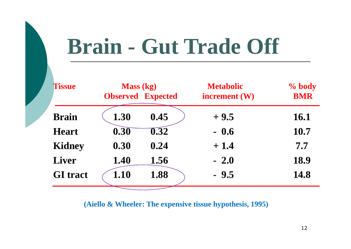## **Brain - Gut Trade Off**

| <b>Tissue</b>   | <b>Mass</b> (kg)<br><b>Observed Expected</b> |                   | <b>Metabolic</b><br>increment (W) | % body<br><b>BMR</b> |
|-----------------|----------------------------------------------|-------------------|-----------------------------------|----------------------|
|                 |                                              |                   |                                   |                      |
| <b>Brain</b>    | 1.30                                         | 0.45              | $+9.5$                            | 16.1                 |
| <b>Heart</b>    | 0.30                                         | $\overline{0.32}$ | $-0.6$                            | 10.7                 |
| <b>Kidney</b>   | 0.30                                         | 0.24              | $+1.4$                            | 7.7                  |
| <b>Liver</b>    | 1.40                                         | 1.56              | $-2.0$                            | 18.9                 |
| <b>GI</b> tract | 1.10                                         | 1.88              | $-9.5$                            | 14.8                 |

**(Aiello & Wheeler: The expensive tissue hypothesis, 1995)**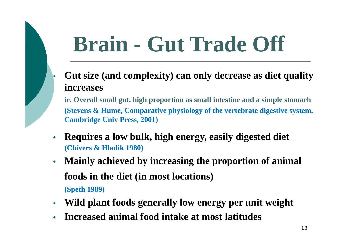# **Brain - Gut Trade Off**

• **Gut size (and complexity) can only decrease as diet quality increases**

**ie. Overall small gut, high proportion as small intestine and a simple stomach (Stevens & Hume, Comparative physiology of the vertebrate digestive system, Cambridge Univ Press, 2001)**

- **Requires a low bulk, high energy, easily digested diet (Chivers & Hladik 1980)**
- **Mainly achieved by increasing the proportion of animal foods in the diet (in most locations) (Speth 1989)**
- **Wild plant foods generally low energy per unit weight**
- **Increased animal food intake at most latitudes**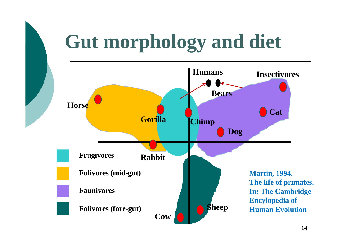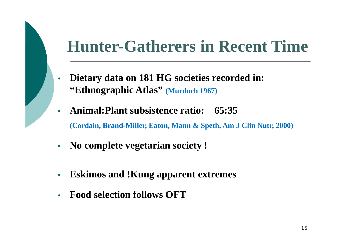### **Hunter-Gatherers in Recent Time**

- **Dietary data on 181 HG societies recorded in: "Ethnographic Atlas" (Murdoch 1967)**
- **Animal:Plant subsistence ratio: 65:35 (Cordain, Brand-Miller, Eaton, Mann & Speth, Am J Clin Nutr, 2000)**
- **No complete vegetarian society !**
- **Eskimos and !Kung apparent extremes**
- **Food selection follows OFT**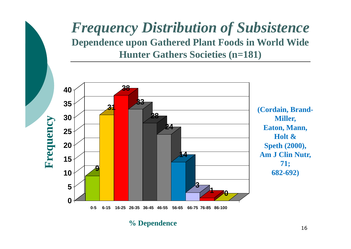#### *Frequency Distribution of Subsistence*  **Dependence upon Gathered Plant Foods in World Wide Hunter Gathers Societies (n=181)**



**% Dependence**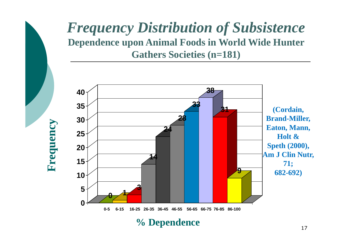#### *Frequency Distribution of Subsistence*  **Dependence upon Animal Foods in World Wide Hunter Gathers Societies (n=181)**



**Frequency**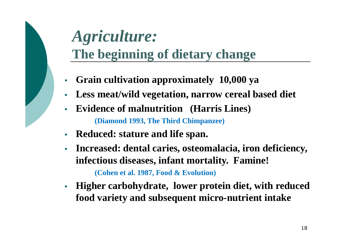### *Agriculture:*  **The beginning of dietary change**

- **Grain cultivation approximately 10,000 ya**
- **Less meat/wild vegetation, narrow cereal based diet**
- **Evidence of malnutrition (Harris Lines) (Diamond 1993, The Third Chimpanzee)**
- **Reduced: stature and life span.**
- **Increased: dental caries, osteomalacia, iron deficiency, infectious diseases, infant mortality. Famine! (Cohen et al. 1987, Food & Evolution)**
- **Higher carbohydrate, lower protein diet, with reduced food variety and subsequent micro-nutrient intake**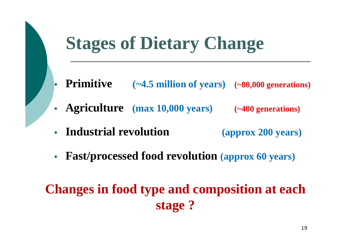## **Stages of Dietary Change**

- **Primitive (~4.5 million of years) (~80,000 generations)**
- **Agriculture (max 10,000 years) (~400 generations)**
- **Industrial revolution (approx 200 years)**
- **Fast/processed food revolution (approx 60 years)**

### **Changes in food type and composition at each stage ?**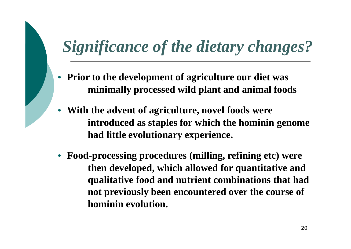## *Significance of the dietary changes?*

- **Prior to the development of agriculture our diet was minimally processed wild plant and animal foods**
- **With the advent of agriculture, novel foods were introduced as staples for which the hominin genome had little evolutionary experience.**
- **Food-processing procedures (milling, refining etc) were then developed, which allowed for quantitative and qualitative food and nutrient combinations that had not previously been encountered over the course of hominin evolution.**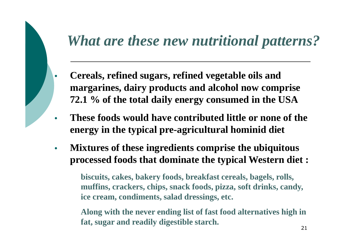### *What are these new nutritional patterns?*

- **Cereals, refined sugars, refined vegetable oils and margarines, dairy products and alcohol now comprise 72.1 % of the total daily energy consumed in the USA**
- **These foods would have contributed little or none of the energy in the typical pre-agricultural hominid diet**
- **Mixtures of these ingredients comprise the ubiquitous processed foods that dominate the typical Western diet :**

**biscuits, cakes, bakery foods, breakfast cereals, bagels, rolls, muffins, crackers, chips, snack foods, pizza, soft drinks, candy, ice cream, condiments, salad dressings, etc.**

**Along with the never ending list of fast food alternatives high in fat, sugar and readily digestible starch.**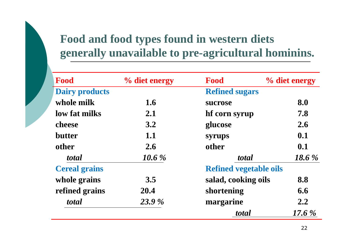### **Food and food types found in western diets generally unavailable to pre-agricultural hominins.**

| Food                  | % diet energy | Food                          | % diet energy |
|-----------------------|---------------|-------------------------------|---------------|
| <b>Dairy products</b> |               | <b>Refined sugars</b>         |               |
| whole milk            | 1.6           | sucrose                       | 8.0           |
| low fat milks         | 2.1           | hf corn syrup                 | 7.8           |
| cheese                | 3.2           | glucose                       | 2.6           |
| <b>butter</b>         | 1.1           | syrups                        | 0.1           |
| other                 | 2.6           | other                         | 0.1           |
| total                 | 10.6 %        | total                         | 18.6 $%$      |
| <b>Cereal grains</b>  |               | <b>Refined vegetable oils</b> |               |
| whole grains          | 3.5           | salad, cooking oils           | 8.8           |
| refined grains        | 20.4          | shortening                    | 6.6           |
| total                 | 23.9 %        | margarine                     | 2.2           |
|                       |               | total                         | $17.6\%$      |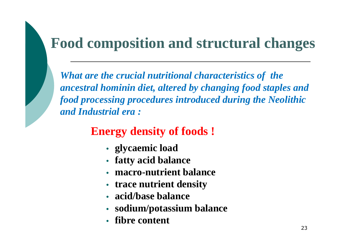### **Food composition and structural changes**

*What are the crucial nutritional characteristics of the ancestral hominin diet, altered by changing food staples and food processing procedures introduced during the Neolithic and Industrial era :*

#### **Energy density of foods !**

- **glycaemic load**
- **fatty acid balance**
- **macro-nutrient balance**
- **trace nutrient density**
- **acid/base balance**
- **sodium/potassium balance**
- **fibre content**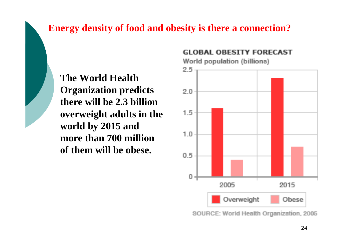#### **Energy density of food and obesity is there a connection?**

**The World Health Organization predicts there will be 2.3 billion overweight adults in the world by 2015 and more than 700 million of them will be obese.**

#### **GLOBAL OBESITY FORECAST**

World population (billions)



SOURCE: World Health Organization, 2005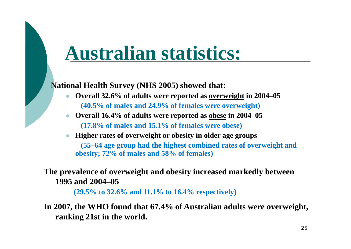## **Australian statistics:**

**National Health Survey (NHS 2005) showed that:**

- **Overall 32.6% of adults were reported as overweight in 2004–05 (40.5% of males and 24.9% of females were overweight)**
- **Overall 16.4% of adults were reported as obese in 2004–05 (17.8% of males and 15.1% of females were obese)**
- **Higher rates of overweight or obesity in older age groups (55–64 age group had the highest combined rates of overweight and obesity; 72% of males and 58% of females)**

#### **The prevalence of overweight and obesity increased markedly between 1995 and 2004–05**

**(29.5% to 32.6% and 11.1% to 16.4% respectively)**

**In 2007, the WHO found that 67.4% of Australian adults were overweight, ranking 21st in the world.**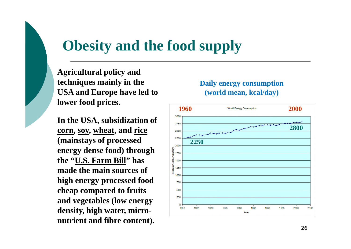### **Obesity and the food supply**

**Agricultural policy and techniques mainly in the USA and Europe have led to lower food prices.**

**In the USA, subsidization of corn, soy, wheat, and rice (mainstays of processed energy dense food) through the "U.S. Farm Bill" has made the main sources of high energy processed food cheap compared to fruits and vegetables (low energy density, high water, micronutrient and fibre content).**

#### **Daily energy consumption (world mean, kcal/day)**

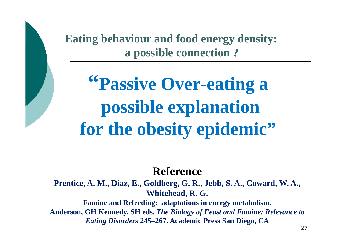**Eating behaviour and food energy density: a possible connection ?**

**"Passive Over-eating a possible explanation for the obesity epidemic"**

#### **Reference**

**Prentice, A. M., Diaz, E., Goldberg, G. R., Jebb, S. A., Coward, W. A., Whitehead, R. G.**

**Famine and Refeeding: adaptations in energy metabolism. Anderson, GH Kennedy, SH eds.** *The Biology of Feast and Famine: Relevance to Eating Disorders* **245–267. Academic Press San Diego, CA**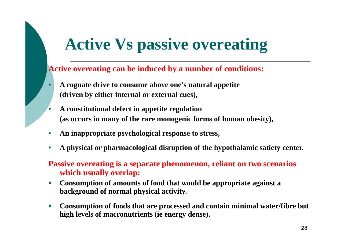### **Active Vs passive overeating**

#### **Active overeating can be induced by a number of conditions:**

- **A cognate drive to consume above one's natural appetite (driven by either internal or external cues),**
- **A constitutional defect in appetite regulation (as occurs in many of the rare monogenic forms of human obesity),**
- **An inappropriate psychological response to stress,**
- **A physical or pharmacological disruption of the hypothalamic satiety center.**

#### **Passive overeating is a separate phenomenon, reliant on two scenarios which usually overlap:**

- **Consumption of amounts of food that would be appropriate against a background of normal physical activity.**
- **Consumption of foods that are processed and contain minimal water/fibre but high levels of macronutrients (ie energy dense).**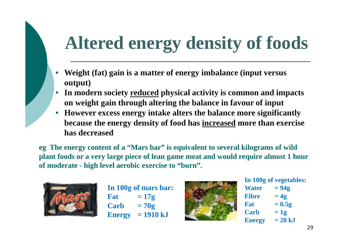## **Altered energy density of foods**

- **Weight (fat) gain is a matter of energy imbalance (input versus output)**
- **In modern society reduced physical activity is common and impacts on weight gain through altering the balance in favour of input**
- **However excess energy intake alters the balance more significantly because the energy density of food has increased more than exercise has decreased**

**eg The energy content of a "Mars bar" is equivalent to several kilograms of wild plant foods or a very large piece of lean game meat and would require almost 1 hour of moderate - high level aerobic exercise to "burn".**



**In 100g of mars bar:**  $\text{Fat} = 17g$  $\text{Carb} = 70g$ **Energy = 1910 kJ**



**In 100g of vegetables:**  $Water = 94g$ Fibre  $= 4g$  $\mathbf{Fat} = 0.5g$  $\text{Carb} = 12$ **Energy**  $= 20 kJ$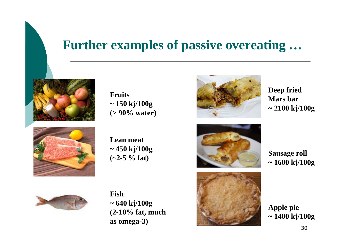#### **Further examples of passive overeating …**





**Fruits ~ 150 kj/100g (> 90% water)**

**Lean meat ~ 450 kj/100g (~2-5 % fat)**



**Deep fried Mars bar ~ 2100 kj/100g**



**Sausage roll ~ 1600 kj/100g**



**Fish ~ 640 kj/100g (2-10% fat, much as omega-3)**



**Apple pie ~ 1400 kj/100g**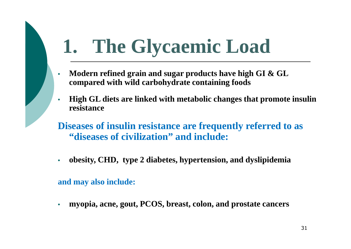## **1. The Glycaemic Load**

- **Modern refined grain and sugar products have high GI & GL compared with wild carbohydrate containing foods**
- **High GL diets are linked with metabolic changes that promote insulin resistance**
- **Diseases of insulin resistance are frequently referred to as "diseases of civilization" and include:**
- **obesity, CHD, type 2 diabetes, hypertension, and dyslipidemia**

**and may also include:**

• **myopia, acne, gout, PCOS, breast, colon, and prostate cancers**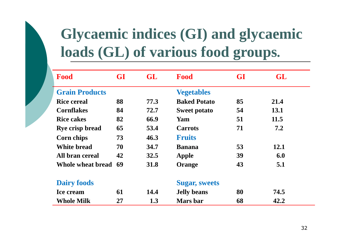### **Glycaemic indices (GI) and glycaemic loads (GL) of various food groups.**

| Food                  | <b>GI</b> | <b>GL</b> | Food                 | <b>GI</b> | GL   |
|-----------------------|-----------|-----------|----------------------|-----------|------|
| <b>Grain Products</b> |           |           | <b>Vegetables</b>    |           |      |
| <b>Rice cereal</b>    | 88        | 77.3      | <b>Baked Potato</b>  | 85        | 21.4 |
| <b>Cornflakes</b>     | 84        | 72.7      | <b>Sweet potato</b>  | 54        | 13.1 |
| <b>Rice cakes</b>     | 82        | 66.9      | Yam                  | 51        | 11.5 |
| Rye crisp bread       | 65        | 53.4      | <b>Carrots</b>       | 71        | 7.2  |
| Corn chips            | 73        | 46.3      | <b>Fruits</b>        |           |      |
| <b>White bread</b>    | 70        | 34.7      | <b>Banana</b>        | 53        | 12.1 |
| All bran cereal       | 42        | 32.5      | Apple                | 39        | 6.0  |
| Whole wheat bread 69  |           | 31.8      | Orange               | 43        | 5.1  |
| <b>Dairy foods</b>    |           |           | <b>Sugar, sweets</b> |           |      |
| <b>Ice cream</b>      | 61        | 14.4      | <b>Jelly beans</b>   | 80        | 74.5 |
| <b>Whole Milk</b>     | 27        | 1.3       | Mars bar             | 68        | 42.2 |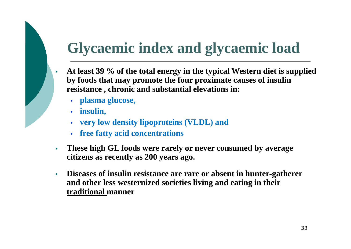### **Glycaemic index and glycaemic load**

- **At least 39 % of the total energy in the typical Western diet is supplied by foods that may promote the four proximate causes of insulin resistance , chronic and substantial elevations in:**
	- **plasma glucose,**
	- **insulin,**
	- **very low density lipoproteins (VLDL) and**
	- **free fatty acid concentrations**
- **These high GL foods were rarely or never consumed by average citizens as recently as 200 years ago.**
- **Diseases of insulin resistance are rare or absent in hunter-gatherer and other less westernized societies living and eating in their traditional manner**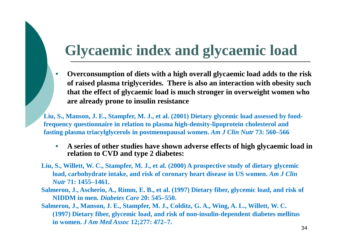### **Glycaemic index and glycaemic load**

• **Overconsumption of diets with a high overall glycaemic load adds to the risk of raised plasma triglycerides. There is also an interaction with obesity such that the effect of glycaemic load is much stronger in overweight women who are already prone to insulin resistance**

**Liu, S., Manson, J. E., Stampfer, M. J., et al. (2001) Dietary glycemic load assessed by foodfrequency questionnaire in relation to plasma high-density-lipoprotein cholesterol and fasting plasma triacylglycerols in postmenopausal women.** *Am J Clin Nutr* **73: 560–566**

- **A series of other studies have shown adverse effects of high glycaemic load in relation to CVD and type 2 diabetes:**
- **Liu, S., Willett, W. C., Stampfer, M. J., et al. (2000) A prospective study of dietary glycemic load, carbohydrate intake, and risk of coronary heart disease in US women.** *Am J Clin Nutr* **71: 1455–1461.**
- **Salmeron, J., Ascherio, A., Rimm, E. B., et al. (1997) Dietary fiber, glycemic load, and risk of NIDDM in men.** *Diabetes Care* **20: 545–550.**

**Salmeron, J., Manson, J. E., Stampfer, M. J., Colditz, G. A., Wing, A. L., Willett, W. C. (1997) Dietary fiber, glycemic load, and risk of non-insulin-dependent diabetes mellitus in women.** *J Am Med Assoc* **12;277: 472–7.**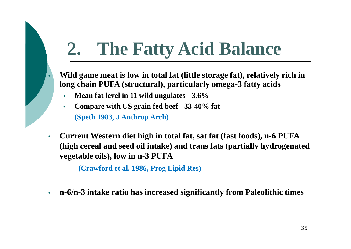## **2. The Fatty Acid Balance**

- **Wild game meat is low in total fat (little storage fat), relatively rich in long chain PUFA (structural), particularly omega-3 fatty acids**
	- **Mean fat level in 11 wild ungulates 3.6%**
	- **Compare with US grain fed beef 33-40% fat (Speth 1983, J Anthrop Arch)**
- **Current Western diet high in total fat, sat fat (fast foods), n-6 PUFA (high cereal and seed oil intake) and trans fats (partially hydrogenated vegetable oils), low in n-3 PUFA**

**(Crawford et al. 1986, Prog Lipid Res)**

• **n-6/n-3 intake ratio has increased significantly from Paleolithic times**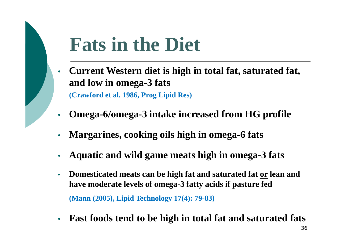## **Fats in the Diet**

- **Current Western diet is high in total fat, saturated fat, and low in omega-3 fats (Crawford et al. 1986, Prog Lipid Res)**
- **Omega-6/omega-3 intake increased from HG profile**
- **Margarines, cooking oils high in omega-6 fats**
- **Aquatic and wild game meats high in omega-3 fats**
- **Domesticated meats can be high fat and saturated fat or lean and have moderate levels of omega-3 fatty acids if pasture fed (Mann (2005), Lipid Technology 17(4): 79-83)**
- **Fast foods tend to be high in total fat and saturated fats**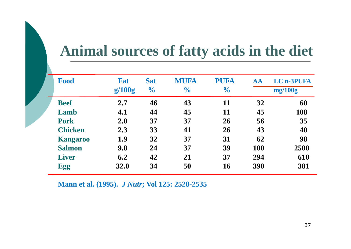### **Animal sources of fatty acids in the diet**

| <b>Food</b>     | Fat<br>g/100g | <b>Sat</b><br>$\frac{1}{2}$ | <b>MUFA</b><br>$\frac{1}{2}$ | <b>PUFA</b><br>$\frac{1}{2}$ | AA         | <b>LC n-3PUFA</b><br>mg/100g |
|-----------------|---------------|-----------------------------|------------------------------|------------------------------|------------|------------------------------|
| <b>Beef</b>     | 2.7           | 46                          | 43                           | 11                           | 32         | 60                           |
| Lamb            | 4.1           | 44                          | 45                           | 11                           | 45         | 108                          |
| <b>Pork</b>     | 2.0           | 37                          | 37                           | 26                           | 56         | 35                           |
| <b>Chicken</b>  | 2.3           | 33                          | 41                           | 26                           | 43         | 40                           |
| <b>Kangaroo</b> | 1.9           | 32                          | 37                           | 31                           | 62         | 98                           |
| <b>Salmon</b>   | 9.8           | 24                          | 37                           | 39                           | <b>100</b> | 2500                         |
| <b>Liver</b>    | 6.2           | 42                          | 21                           | 37                           | 294        | 610                          |
| <b>Egg</b>      | 32.0          | 34                          | 50                           | 16                           | 390        | 381                          |

**Mann et al. (1995).** *J Nutr***; Vol 125: 2528-2535**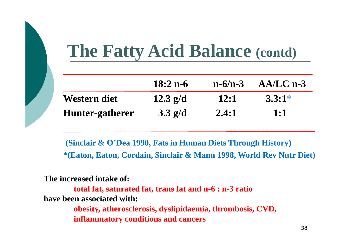## **The Fatty Acid Balance (contd)**

|                 | $18:2 n-6$ | $n - 6/n - 3$ | $AA/LC$ n-3 |
|-----------------|------------|---------------|-------------|
| Western diet    | $12.3$ g/d | <b>12:1</b>   | $3.3:1*$    |
| Hunter-gatherer | $3.3$ g/d  | 2.4:1         | 1:1         |

**(Sinclair & O'Dea 1990, Fats in Human Diets Through History) \*(Eaton, Eaton, Cordain, Sinclair & Mann 1998, World Rev Nutr Diet)**

**The increased intake of:** 

**total fat, saturated fat, trans fat and n-6 : n-3 ratio have been associated with:** 

> **obesity, atherosclerosis, dyslipidaemia, thrombosis, CVD, inflammatory conditions and cancers**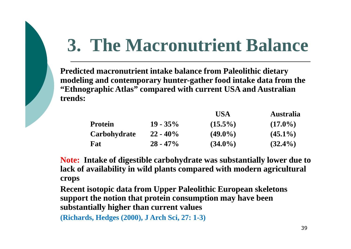## **3. The Macronutrient Balance**

**Predicted macronutrient intake balance from Paleolithic dietary modeling and contemporary hunter-gather food intake data from the "Ethnographic Atlas" compared with current USA and Australian trends:**

|                |             | USA        | <b>Australia</b> |
|----------------|-------------|------------|------------------|
| <b>Protein</b> | $19 - 35\%$ | $(15.5\%)$ | $(17.0\%)$       |
| Carbohydrate   | $22 - 40\%$ | $(49.0\%)$ | $(45.1\%)$       |
| Fat            | $28 - 47\%$ | $(34.0\%)$ | $(32.4\%)$       |

**Note: Intake of digestible carbohydrate was substantially lower due to lack of availability in wild plants compared with modern agricultural crops** 

**Recent isotopic data from Upper Paleolithic European skeletons support the notion that protein consumption may have been substantially higher than current values**

**(Richards, Hedges (2000), J Arch Sci, 27: 1-3)**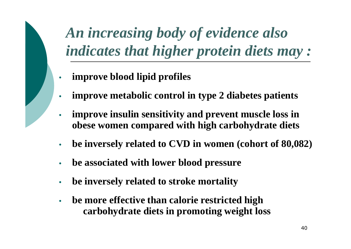*An increasing body of evidence also indicates that higher protein diets may :*

- **improve blood lipid profiles**
- **improve metabolic control in type 2 diabetes patients**
- **improve insulin sensitivity and prevent muscle loss in obese women compared with high carbohydrate diets**
- **be inversely related to CVD in women (cohort of 80,082)**
- **be associated with lower blood pressure**
- **be inversely related to stroke mortality**
- **be more effective than calorie restricted high carbohydrate diets in promoting weight loss**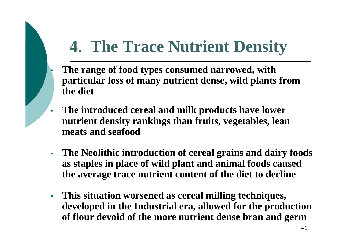## **4. The Trace Nutrient Density**

- **The range of food types consumed narrowed, with particular loss of many nutrient dense, wild plants from the diet**
- **The introduced cereal and milk products have lower nutrient density rankings than fruits, vegetables, lean meats and seafood**
- **The Neolithic introduction of cereal grains and dairy foods as staples in place of wild plant and animal foods caused the average trace nutrient content of the diet to decline**
- **This situation worsened as cereal milling techniques, developed in the Industrial era, allowed for the production of flour devoid of the more nutrient dense bran and germ**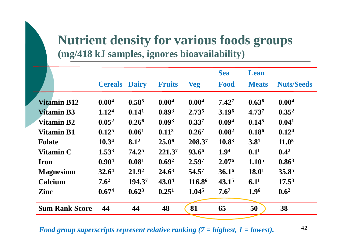#### **Nutrient density for various foods groups (mg/418 kJ samples, ignores bioavailability)**

|                       |                   |                   |                    |                    | <b>Sea</b>        | Lean              |                   |
|-----------------------|-------------------|-------------------|--------------------|--------------------|-------------------|-------------------|-------------------|
|                       | <b>Cereals</b>    | <b>Dairy</b>      | <b>Fruits</b>      | <b>Veg</b>         | <b>Food</b>       | <b>Meats</b>      | <b>Nuts/Seeds</b> |
| <b>Vitamin B12</b>    | 0.00 <sup>4</sup> | 0.58 <sup>5</sup> | 0.00 <sup>4</sup>  | 0.00 <sup>4</sup>  | $7.42^{7}$        | 0.63 <sup>6</sup> | 0.00 <sup>4</sup> |
| <b>Vitamin B3</b>     | 1.12 <sup>4</sup> | 0.14 <sup>1</sup> | 0.89 <sup>3</sup>  | $2.73^{5}$         | 3.196             | 4.737             | $0.35^2$          |
| Vitamin B2            | $0.05^2$          | $0.26^6$          | 0.09 <sup>3</sup>  | $0.33^{7}$         | 0.09 <sup>4</sup> | 0.14 <sup>5</sup> | 0.04 <sup>1</sup> |
| <b>Vitamin B1</b>     | 0.12 <sup>5</sup> | 0.06 <sup>1</sup> | 0.11 <sup>3</sup>  | $0.26^7$           | 0.08 <sup>2</sup> | 0.18 <sup>6</sup> | 0.12 <sup>4</sup> |
| <b>Folate</b>         | 10.3 <sup>4</sup> | 8.1 <sup>2</sup>  | 25.0 <sup>6</sup>  | 208.37             | 10.8 <sup>3</sup> | 3.8 <sup>1</sup>  | 11.0 <sup>5</sup> |
| Vitamin C             | $1.53^{3}$        | 74.25             | 221.3 <sup>7</sup> | $93.6^6$           | 1.9 <sup>4</sup>  | 0.1 <sup>1</sup>  | $0.4^2$           |
| <b>Iron</b>           | 0.90 <sup>4</sup> | 0.08 <sup>1</sup> | 0.69 <sup>2</sup>  | 2.597              | 2.07 <sup>6</sup> | 1.10 <sup>5</sup> | 0.86 <sup>3</sup> |
| <b>Magnesium</b>      | 32.6 <sup>4</sup> | $21.9^2$          | $24.6^3$           | 54.57              | 36.1 <sup>6</sup> | 18.0 <sup>1</sup> | 35.85             |
| <b>Calcium</b>        | $7.6^2$           | 194.37            | 43.0 <sup>4</sup>  | 116.8 <sup>6</sup> | 43.1 <sup>5</sup> | 6.1 <sup>1</sup>  | $17.5^3$          |
| <b>Zinc</b>           | 0.674             | 0.62 <sup>3</sup> | 0.25 <sup>1</sup>  | 1.04 <sup>5</sup>  | 7.6 <sup>7</sup>  | 1.96              | 0.6 <sup>2</sup>  |
| <b>Sum Rank Score</b> | 44                | 44                | 48                 | 81                 | 65                | 50                | 38                |

*Food group superscripts represent relative ranking (7 = highest, 1 = lowest).*

42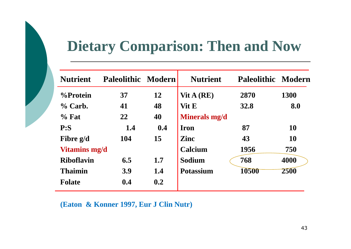### **Dietary Comparison: Then and Now**

| <b>Nutrient</b>      | <b>Paleolithic Modern</b> |     | <b>Nutrient</b>  | <b>Paleolithic Modern</b> |           |
|----------------------|---------------------------|-----|------------------|---------------------------|-----------|
| %Protein             | 37                        | 12  | $V$ it A (RE)    | 2870                      | 1300      |
| $\%$ Carb.           | 41                        | 48  | Vit E            | <b>32.8</b>               | 8.0       |
| $\%$ Fat             | 22                        | 40  | Minerals mg/d    |                           |           |
| P: S                 | 1.4                       | 0.4 | <b>Iron</b>      | 87                        | <b>10</b> |
| Fibre g/d            | 104                       | 15  | <b>Zinc</b>      | 43                        | <b>10</b> |
| <b>Vitamins mg/d</b> |                           |     | Calcium          | 1956                      | 750       |
| <b>Riboflavin</b>    | 6.5                       | 1.7 | Sodium           | 768                       | 4000      |
| <b>Thaimin</b>       | <b>3.9</b>                | 1.4 | <b>Potassium</b> | 10500                     | 2500      |
| <b>Folate</b>        | 0.4                       | 0.2 |                  |                           |           |
|                      |                           |     |                  |                           |           |

**(Eaton & Konner 1997, Eur J Clin Nutr)**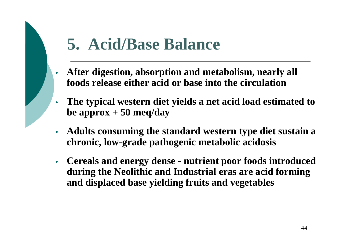### **5. Acid/Base Balance**

- **After digestion, absorption and metabolism, nearly all foods release either acid or base into the circulation**
- **The typical western diet yields a net acid load estimated to be approx + 50 meq/day**
- **Adults consuming the standard western type diet sustain a chronic, low-grade pathogenic metabolic acidosis**
- **Cereals and energy dense nutrient poor foods introduced during the Neolithic and Industrial eras are acid forming and displaced base yielding fruits and vegetables**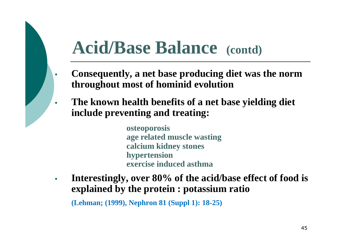## **Acid/Base Balance (contd)**

- **Consequently, a net base producing diet was the norm throughout most of hominid evolution**
- **The known health benefits of a net base yielding diet include preventing and treating:**

**osteoporosis age related muscle wasting calcium kidney stones hypertension exercise induced asthma**

• **Interestingly, over 80% of the acid/base effect of food is explained by the protein : potassium ratio**

**(Lehman; (1999), Nephron 81 (Suppl 1): 18-25)**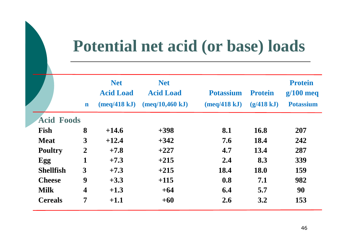### **Potential net acid (or base) loads**

|                   |                         | <b>Net</b>                    | <b>Net</b>       |                  |                | <b>Protein</b>   |
|-------------------|-------------------------|-------------------------------|------------------|------------------|----------------|------------------|
|                   |                         | <b>Acid Load</b>              | <b>Acid Load</b> | <b>Potassium</b> | <b>Protein</b> | $g/100$ meq      |
|                   | $\mathbf n$             | $(\text{meq}/418 \text{ kJ})$ | (meq/10,460 kJ)  | (meq/418 kJ)     | (g/418 kJ)     | <b>Potassium</b> |
| <b>Acid Foods</b> |                         |                               |                  |                  |                |                  |
| Fish              | 8                       | $+14.6$                       | $+398$           | 8.1              | 16.8           | 207              |
| <b>Meat</b>       | $\overline{3}$          | $+12.4$                       | $+342$           | 7.6              | 18.4           | 242              |
| <b>Poultry</b>    | $\overline{2}$          | $+7.8$                        | $+227$           | 4.7              | 13.4           | 287              |
| Egg               | 1                       | $+7.3$                        | $+215$           | 2.4              | 8.3            | 339              |
| <b>Shellfish</b>  | 3                       | $+7.3$                        | $+215$           | 18.4             | 18.0           | 159              |
| <b>Cheese</b>     | 9                       | $+3.3$                        | $+115$           | 0.8              | 7.1            | 982              |
| <b>Milk</b>       | $\overline{\mathbf{4}}$ | $+1.3$                        | $+64$            | 6.4              | 5.7            | 90               |
| <b>Cereals</b>    | $\overline{7}$          | $+1.1$                        | $+60$            | 2.6              | 3.2            | 153              |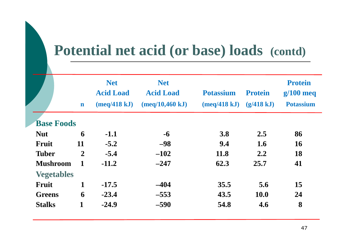### **Potential net acid (or base) loads (contd)**

|                   | $\mathbf n$    | <b>Net</b><br><b>Acid Load</b><br>(meq/418 kJ) | <b>Net</b><br><b>Acid Load</b><br>(meq/10,460 kJ) | <b>Potassium</b><br>$(meq/418 \text{ kJ})$ | <b>Protein</b><br>(g/418 kJ) | <b>Protein</b><br>$g/100$ meq<br><b>Potassium</b> |
|-------------------|----------------|------------------------------------------------|---------------------------------------------------|--------------------------------------------|------------------------------|---------------------------------------------------|
| <b>Base Foods</b> |                |                                                |                                                   |                                            |                              |                                                   |
| <b>Nut</b>        | 6              | $-1.1$                                         | $-6$                                              | 3.8                                        | 2.5                          | 86                                                |
| Fruit             | 11             | $-5.2$                                         | $-98$                                             | 9.4                                        | 1.6                          | <b>16</b>                                         |
| <b>Tuber</b>      | $\overline{2}$ | $-5.4$                                         | $-102$                                            | <b>11.8</b>                                | 2.2                          | 18                                                |
| <b>Mushroom</b>   | 1              | $-11.2$                                        | $-247$                                            | 62.3                                       | 25.7                         | 41                                                |
| <b>Vegetables</b> |                |                                                |                                                   |                                            |                              |                                                   |
| Fruit             | 1              | $-17.5$                                        | $-404$                                            | 35.5                                       | 5.6                          | 15                                                |
| <b>Greens</b>     | 6              | $-23.4$                                        | $-553$                                            | 43.5                                       | <b>10.0</b>                  | 24                                                |
| <b>Stalks</b>     | 1              | $-24.9$                                        | $-590$                                            | 54.8                                       | 4.6                          | 8                                                 |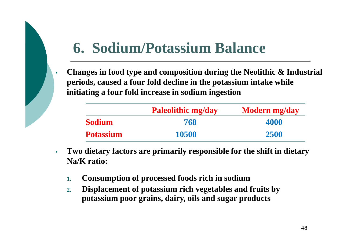### **6. Sodium/Potassium Balance**

• **Changes in food type and composition during the Neolithic & Industrial periods, caused a four fold decline in the potassium intake while initiating a four fold increase in sodium ingestion**

|                  | <b>Paleolithic mg/day</b> | <b>Modern mg/day</b> |
|------------------|---------------------------|----------------------|
| <b>Sodium</b>    | 768                       | 4000                 |
| <b>Potassium</b> | 10500                     | 2500                 |

- **Two dietary factors are primarily responsible for the shift in dietary Na/K ratio:**
	- **1. Consumption of processed foods rich in sodium**
	- **2. Displacement of potassium rich vegetables and fruits by potassium poor grains, dairy, oils and sugar products**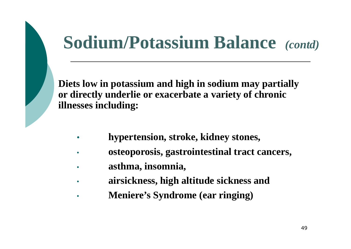## **Sodium/Potassium Balance** *(contd)*

**Diets low in potassium and high in sodium may partially or directly underlie or exacerbate a variety of chronic illnesses including:** 

- **hypertension, stroke, kidney stones,**
- **osteoporosis, gastrointestinal tract cancers,**
- **asthma, insomnia,**
- **airsickness, high altitude sickness and**
- **Meniere's Syndrome (ear ringing)**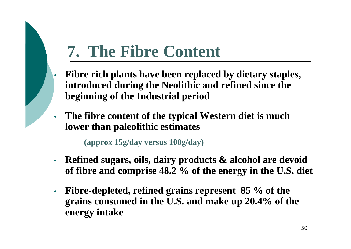### **7. The Fibre Content**

- **Fibre rich plants have been replaced by dietary staples, introduced during the Neolithic and refined since the beginning of the Industrial period**
- **The fibre content of the typical Western diet is much lower than paleolithic estimates**

**(approx 15g/day versus 100g/day)**

- **Refined sugars, oils, dairy products & alcohol are devoid of fibre and comprise 48.2 % of the energy in the U.S. diet**
- **Fibre-depleted, refined grains represent 85 % of the grains consumed in the U.S. and make up 20.4% of the energy intake**